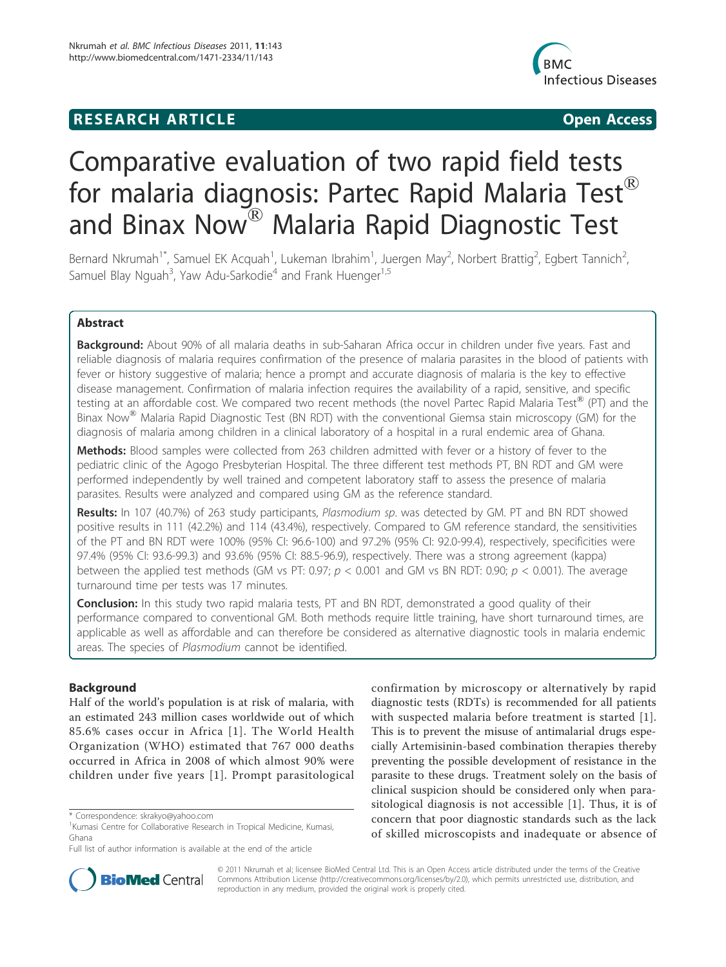# **RESEARCH ARTICLE Example 2018 CONSIDERING ACCESS**



# Comparative evaluation of two rapid field tests for malaria diagnosis: Partec Rapid Malaria Test® and Binax Now® Malaria Rapid Diagnostic Test

Bernard Nkrumah<sup>1\*</sup>, Samuel EK Acquah<sup>1</sup>, Lukeman Ibrahim<sup>1</sup>, Juergen May<sup>2</sup>, Norbert Brattig<sup>2</sup>, Egbert Tannich<sup>2</sup> , Samuel Blay Nguah<sup>3</sup>, Yaw Adu-Sarkodie<sup>4</sup> and Frank Huenger<sup>1,5</sup>

# Abstract

**Background:** About 90% of all malaria deaths in sub-Saharan Africa occur in children under five years. Fast and reliable diagnosis of malaria requires confirmation of the presence of malaria parasites in the blood of patients with fever or history suggestive of malaria; hence a prompt and accurate diagnosis of malaria is the key to effective disease management. Confirmation of malaria infection requires the availability of a rapid, sensitive, and specific testing at an affordable cost. We compared two recent methods (the novel Partec Rapid Malaria Test® (PT) and the Binax Now® Malaria Rapid Diagnostic Test (BN RDT) with the conventional Giemsa stain microscopy (GM) for the diagnosis of malaria among children in a clinical laboratory of a hospital in a rural endemic area of Ghana.

Methods: Blood samples were collected from 263 children admitted with fever or a history of fever to the pediatric clinic of the Agogo Presbyterian Hospital. The three different test methods PT, BN RDT and GM were performed independently by well trained and competent laboratory staff to assess the presence of malaria parasites. Results were analyzed and compared using GM as the reference standard.

Results: In 107 (40.7%) of 263 study participants, Plasmodium sp. was detected by GM. PT and BN RDT showed positive results in 111 (42.2%) and 114 (43.4%), respectively. Compared to GM reference standard, the sensitivities of the PT and BN RDT were 100% (95% CI: 96.6-100) and 97.2% (95% CI: 92.0-99.4), respectively, specificities were 97.4% (95% CI: 93.6-99.3) and 93.6% (95% CI: 88.5-96.9), respectively. There was a strong agreement (kappa) between the applied test methods (GM vs PT: 0.97;  $p < 0.001$  and GM vs BN RDT: 0.90;  $p < 0.001$ ). The average turnaround time per tests was 17 minutes.

Conclusion: In this study two rapid malaria tests, PT and BN RDT, demonstrated a good quality of their performance compared to conventional GM. Both methods require little training, have short turnaround times, are applicable as well as affordable and can therefore be considered as alternative diagnostic tools in malaria endemic areas. The species of Plasmodium cannot be identified.

# Background

Half of the world's population is at risk of malaria, with an estimated 243 million cases worldwide out of which 85.6% cases occur in Africa [1]. The World Health Organization (WHO) estimated that 767 000 deaths occurred in Africa in 2008 of which almost 90% were children under five years [1]. Prompt parasitological confirmation by microscopy or alternatively by rapid diagnostic tests (RDTs) is recommended for all patients with suspected malaria before treatment is started [1]. This is to prevent the misuse of antimalarial drugs especially Artemisinin-based combination therapies thereby preventing the possible development of resistance in the parasite to these drugs. Treatment solely on the basis of clinical suspicion should be considered only when parasitological diagnosis is not accessible [1]. Thus, it is of concern that poor diagnostic standards such as the lack of skilled microscopists and inadequate or absence of



© 2011 Nkrumah et al; licensee BioMed Central Ltd. This is an Open Access article distributed under the terms of the Creative Commons Attribution License (http://creativecommons.org/licenses/by/2.0), which permits unrestricted use, distribution, and reproduction in any medium, provided the original work is properly cited.

<sup>\*</sup> Correspondence: skrakyo@yahoo.com

<sup>&</sup>lt;sup>1</sup> Kumasi Centre for Collaborative Research in Tropical Medicine, Kumasi, Ghana

Full list of author information is available at the end of the article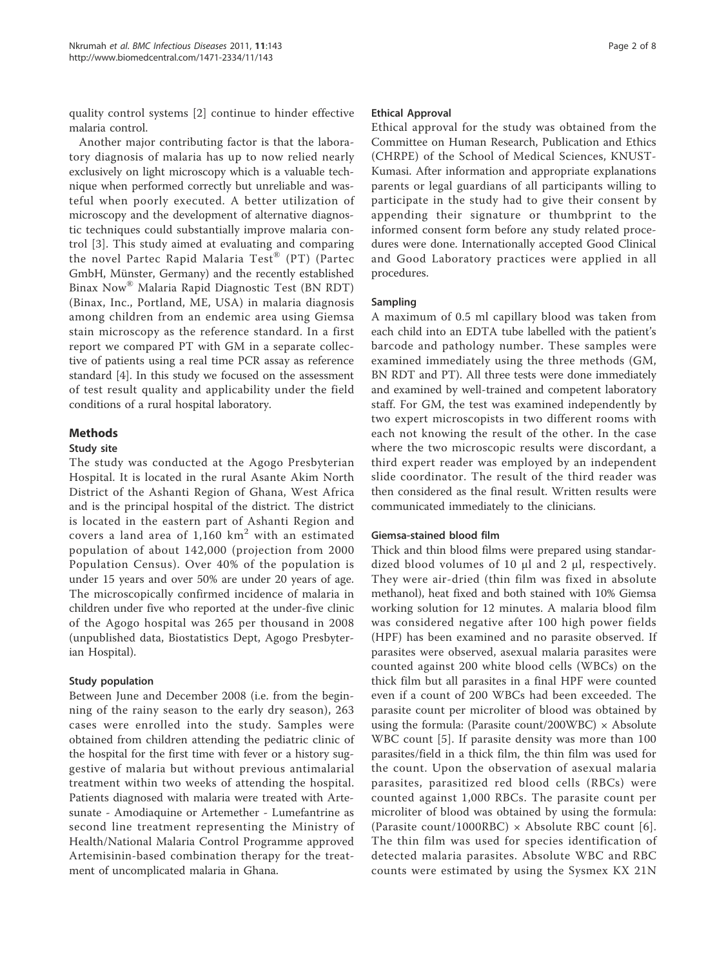quality control systems [2] continue to hinder effective malaria control.

Another major contributing factor is that the laboratory diagnosis of malaria has up to now relied nearly exclusively on light microscopy which is a valuable technique when performed correctly but unreliable and wasteful when poorly executed. A better utilization of microscopy and the development of alternative diagnostic techniques could substantially improve malaria control [3]. This study aimed at evaluating and comparing the novel Partec Rapid Malaria Test® (PT) (Partec GmbH, Münster, Germany) and the recently established Binax Now® Malaria Rapid Diagnostic Test (BN RDT) (Binax, Inc., Portland, ME, USA) in malaria diagnosis among children from an endemic area using Giemsa stain microscopy as the reference standard. In a first report we compared PT with GM in a separate collective of patients using a real time PCR assay as reference standard [4]. In this study we focused on the assessment of test result quality and applicability under the field conditions of a rural hospital laboratory.

# Methods

#### Study site

The study was conducted at the Agogo Presbyterian Hospital. It is located in the rural Asante Akim North District of the Ashanti Region of Ghana, West Africa and is the principal hospital of the district. The district is located in the eastern part of Ashanti Region and covers a land area of  $1,160 \text{ km}^2$  with an estimated population of about 142,000 (projection from 2000 Population Census). Over 40% of the population is under 15 years and over 50% are under 20 years of age. The microscopically confirmed incidence of malaria in children under five who reported at the under-five clinic of the Agogo hospital was 265 per thousand in 2008 (unpublished data, Biostatistics Dept, Agogo Presbyterian Hospital).

### Study population

Between June and December 2008 (i.e. from the beginning of the rainy season to the early dry season), 263 cases were enrolled into the study. Samples were obtained from children attending the pediatric clinic of the hospital for the first time with fever or a history suggestive of malaria but without previous antimalarial treatment within two weeks of attending the hospital. Patients diagnosed with malaria were treated with Artesunate - Amodiaquine or Artemether - Lumefantrine as second line treatment representing the Ministry of Health/National Malaria Control Programme approved Artemisinin-based combination therapy for the treatment of uncomplicated malaria in Ghana.

#### Ethical Approval

Ethical approval for the study was obtained from the Committee on Human Research, Publication and Ethics (CHRPE) of the School of Medical Sciences, KNUST-Kumasi. After information and appropriate explanations parents or legal guardians of all participants willing to participate in the study had to give their consent by appending their signature or thumbprint to the informed consent form before any study related procedures were done. Internationally accepted Good Clinical and Good Laboratory practices were applied in all procedures.

### Sampling

A maximum of 0.5 ml capillary blood was taken from each child into an EDTA tube labelled with the patient's barcode and pathology number. These samples were examined immediately using the three methods (GM, BN RDT and PT). All three tests were done immediately and examined by well-trained and competent laboratory staff. For GM, the test was examined independently by two expert microscopists in two different rooms with each not knowing the result of the other. In the case where the two microscopic results were discordant, a third expert reader was employed by an independent slide coordinator. The result of the third reader was then considered as the final result. Written results were communicated immediately to the clinicians.

### Giemsa-stained blood film

Thick and thin blood films were prepared using standardized blood volumes of 10 μl and 2 μl, respectively. They were air-dried (thin film was fixed in absolute methanol), heat fixed and both stained with 10% Giemsa working solution for 12 minutes. A malaria blood film was considered negative after 100 high power fields (HPF) has been examined and no parasite observed. If parasites were observed, asexual malaria parasites were counted against 200 white blood cells (WBCs) on the thick film but all parasites in a final HPF were counted even if a count of 200 WBCs had been exceeded. The parasite count per microliter of blood was obtained by using the formula: (Parasite count/200WBC)  $\times$  Absolute WBC count [5]. If parasite density was more than 100 parasites/field in a thick film, the thin film was used for the count. Upon the observation of asexual malaria parasites, parasitized red blood cells (RBCs) were counted against 1,000 RBCs. The parasite count per microliter of blood was obtained by using the formula: (Parasite count/1000RBC)  $\times$  Absolute RBC count [6]. The thin film was used for species identification of detected malaria parasites. Absolute WBC and RBC counts were estimated by using the Sysmex KX 21N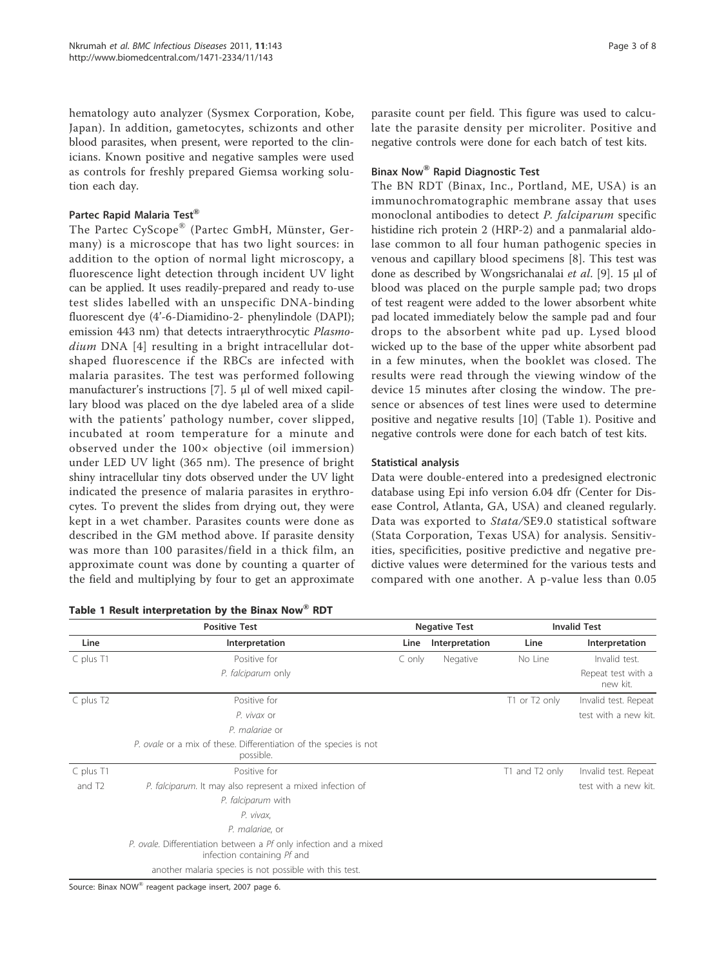hematology auto analyzer (Sysmex Corporation, Kobe, Japan). In addition, gametocytes, schizonts and other blood parasites, when present, were reported to the clinicians. Known positive and negative samples were used as controls for freshly prepared Giemsa working solution each day.

# Partec Rapid Malaria Test®

The Partec CyScope® (Partec GmbH, Münster, Germany) is a microscope that has two light sources: in addition to the option of normal light microscopy, a fluorescence light detection through incident UV light can be applied. It uses readily-prepared and ready to-use test slides labelled with an unspecific DNA-binding fluorescent dye (4'-6-Diamidino-2- phenylindole (DAPI); emission 443 nm) that detects intraerythrocytic Plasmodium DNA [4] resulting in a bright intracellular dotshaped fluorescence if the RBCs are infected with malaria parasites. The test was performed following manufacturer's instructions [7]. 5 μl of well mixed capillary blood was placed on the dye labeled area of a slide with the patients' pathology number, cover slipped, incubated at room temperature for a minute and observed under the 100× objective (oil immersion) under LED UV light (365 nm). The presence of bright shiny intracellular tiny dots observed under the UV light indicated the presence of malaria parasites in erythrocytes. To prevent the slides from drying out, they were kept in a wet chamber. Parasites counts were done as described in the GM method above. If parasite density was more than 100 parasites/field in a thick film, an approximate count was done by counting a quarter of the field and multiplying by four to get an approximate

|  |  | Table 1 Result interpretation by the Binax Now $^{\circledR}$ RDT |  |  |  |  |
|--|--|-------------------------------------------------------------------|--|--|--|--|
|--|--|-------------------------------------------------------------------|--|--|--|--|

parasite count per field. This figure was used to calculate the parasite density per microliter. Positive and negative controls were done for each batch of test kits.

## Binax Now® Rapid Diagnostic Test

The BN RDT (Binax, Inc., Portland, ME, USA) is an immunochromatographic membrane assay that uses monoclonal antibodies to detect P. falciparum specific histidine rich protein 2 (HRP-2) and a panmalarial aldolase common to all four human pathogenic species in venous and capillary blood specimens [8]. This test was done as described by Wongsrichanalai et al. [9]. 15 μl of blood was placed on the purple sample pad; two drops of test reagent were added to the lower absorbent white pad located immediately below the sample pad and four drops to the absorbent white pad up. Lysed blood wicked up to the base of the upper white absorbent pad in a few minutes, when the booklet was closed. The results were read through the viewing window of the device 15 minutes after closing the window. The presence or absences of test lines were used to determine positive and negative results [10] (Table 1). Positive and negative controls were done for each batch of test kits.

### Statistical analysis

Data were double-entered into a predesigned electronic database using Epi info version 6.04 dfr (Center for Disease Control, Atlanta, GA, USA) and cleaned regularly. Data was exported to Stata/SE9.0 statistical software (Stata Corporation, Texas USA) for analysis. Sensitivities, specificities, positive predictive and negative predictive values were determined for the various tests and compared with one another. A p-value less than 0.05

|                    | <b>Positive Test</b>                                                                             | <b>Negative Test</b> |                | <b>Invalid Test</b> |                                |
|--------------------|--------------------------------------------------------------------------------------------------|----------------------|----------------|---------------------|--------------------------------|
| Line               | Interpretation                                                                                   | Line                 | Interpretation | Line                | Interpretation                 |
| C plus T1          | Positive for                                                                                     | C only               | Negative       | No Line             | Invalid test.                  |
|                    | P. falciparum only                                                                               |                      |                |                     | Repeat test with a<br>new kit. |
| C plus T2          | Positive for                                                                                     |                      |                | T1 or T2 only       | Invalid test. Repeat           |
|                    | P. vivax or                                                                                      |                      |                |                     | test with a new kit.           |
|                    | P. malariae or                                                                                   |                      |                |                     |                                |
|                    | P. ovale or a mix of these. Differentiation of the species is not<br>possible.                   |                      |                |                     |                                |
| C plus T1          | Positive for                                                                                     |                      |                | T1 and T2 only      | Invalid test. Repeat           |
| and T <sub>2</sub> | P. falciparum. It may also represent a mixed infection of                                        |                      |                |                     | test with a new kit.           |
|                    | P. falciparum with                                                                               |                      |                |                     |                                |
|                    | P. vivax,                                                                                        |                      |                |                     |                                |
|                    | P. malariae, or                                                                                  |                      |                |                     |                                |
|                    | P. ovale. Differentiation between a Pf only infection and a mixed<br>infection containing Pf and |                      |                |                     |                                |
|                    | another malaria species is not possible with this test.                                          |                      |                |                     |                                |

Source: Binax NOW® reagent package insert, 2007 page 6.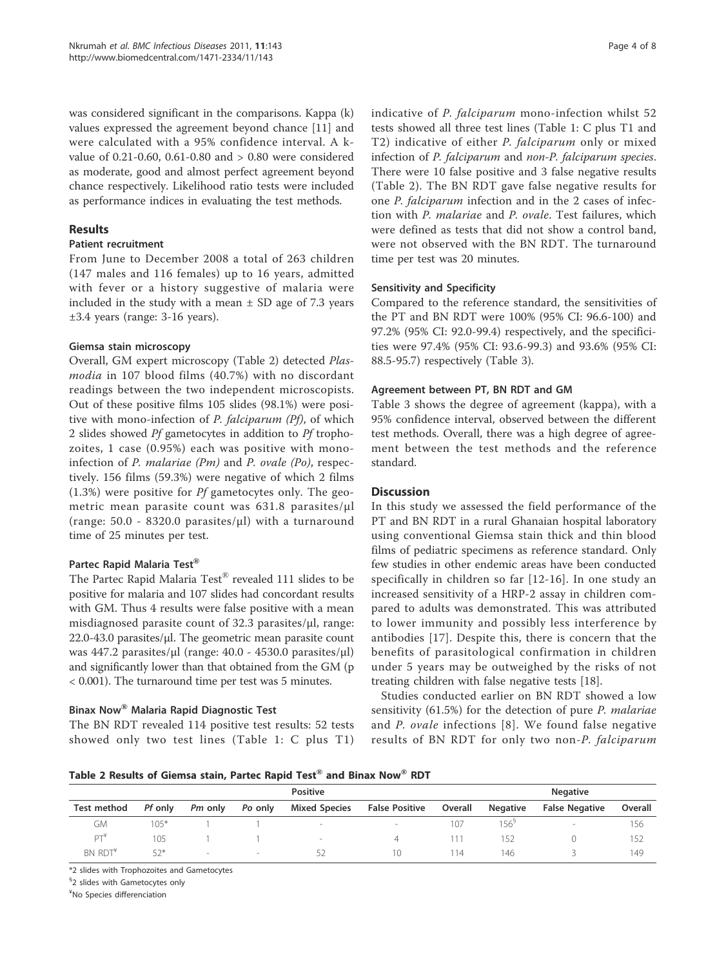was considered significant in the comparisons. Kappa (k) values expressed the agreement beyond chance [11] and were calculated with a 95% confidence interval. A kvalue of 0.21-0.60, 0.61-0.80 and > 0.80 were considered as moderate, good and almost perfect agreement beyond chance respectively. Likelihood ratio tests were included as performance indices in evaluating the test methods.

### Results

#### Patient recruitment

From June to December 2008 a total of 263 children (147 males and 116 females) up to 16 years, admitted with fever or a history suggestive of malaria were included in the study with a mean  $\pm$  SD age of 7.3 years ±3.4 years (range: 3-16 years).

#### Giemsa stain microscopy

Overall, GM expert microscopy (Table 2) detected Plasmodia in 107 blood films (40.7%) with no discordant readings between the two independent microscopists. Out of these positive films 105 slides (98.1%) were positive with mono-infection of P. falciparum (Pf), of which 2 slides showed Pf gametocytes in addition to Pf trophozoites, 1 case (0.95%) each was positive with monoinfection of P. malariae (Pm) and P. ovale (Po), respectively. 156 films (59.3%) were negative of which 2 films  $(1.3%)$  were positive for *Pf* gametocytes only. The geometric mean parasite count was 631.8 parasites/μl (range: 50.0 - 8320.0 parasites/μl) with a turnaround time of 25 minutes per test.

# Partec Rapid Malaria Test®

The Partec Rapid Malaria Test® revealed 111 slides to be positive for malaria and 107 slides had concordant results with GM. Thus 4 results were false positive with a mean misdiagnosed parasite count of 32.3 parasites/μl, range: 22.0-43.0 parasites/μl. The geometric mean parasite count was 447.2 parasites/μl (range: 40.0 - 4530.0 parasites/μl) and significantly lower than that obtained from the GM (p < 0.001). The turnaround time per test was 5 minutes.

### Binax Now® Malaria Rapid Diagnostic Test

The BN RDT revealed 114 positive test results: 52 tests showed only two test lines (Table 1: C plus T1) indicative of P. falciparum mono-infection whilst 52 tests showed all three test lines (Table 1: C plus T1 and T2) indicative of either P. falciparum only or mixed infection of P. falciparum and non-P. falciparum species. There were 10 false positive and 3 false negative results (Table 2). The BN RDT gave false negative results for one P. falciparum infection and in the 2 cases of infection with P. malariae and P. ovale. Test failures, which were defined as tests that did not show a control band, were not observed with the BN RDT. The turnaround time per test was 20 minutes.

#### Sensitivity and Specificity

Compared to the reference standard, the sensitivities of the PT and BN RDT were 100% (95% CI: 96.6-100) and 97.2% (95% CI: 92.0-99.4) respectively, and the specificities were 97.4% (95% CI: 93.6-99.3) and 93.6% (95% CI: 88.5-95.7) respectively (Table 3).

#### Agreement between PT, BN RDT and GM

Table 3 shows the degree of agreement (kappa), with a 95% confidence interval, observed between the different test methods. Overall, there was a high degree of agreement between the test methods and the reference standard.

### **Discussion**

In this study we assessed the field performance of the PT and BN RDT in a rural Ghanaian hospital laboratory using conventional Giemsa stain thick and thin blood films of pediatric specimens as reference standard. Only few studies in other endemic areas have been conducted specifically in children so far [12-16]. In one study an increased sensitivity of a HRP-2 assay in children compared to adults was demonstrated. This was attributed to lower immunity and possibly less interference by antibodies [17]. Despite this, there is concern that the benefits of parasitological confirmation in children under 5 years may be outweighed by the risks of not treating children with false negative tests [18].

Studies conducted earlier on BN RDT showed a low sensitivity (61.5%) for the detection of pure P. malariae and P. ovale infections [8]. We found false negative results of BN RDT for only two non-P. falciparum

Table 2 Results of Giemsa stain, Partec Rapid Test® and Binax Now® RDT

| <b>Positive</b>     |         |                          |         |                          |                                 | <b>Negative</b> |                  |                       |         |
|---------------------|---------|--------------------------|---------|--------------------------|---------------------------------|-----------------|------------------|-----------------------|---------|
| <b>Test method</b>  | Pf only | Pm only                  | Po only | <b>Mixed Species</b>     | <b>False Positive</b>           | Overall         | Negative         | <b>False Negative</b> | Overall |
| GM                  | $105*$  |                          |         | $\sim$                   | $\hspace{0.1mm}-\hspace{0.1mm}$ | 107             | 156 <sup>3</sup> |                       | 156     |
| DT <sup>Y</sup>     | 105     |                          |         | $\overline{\phantom{a}}$ |                                 |                 | 152              |                       | 152     |
| BN RDT <sup>¥</sup> | 57*     | $\overline{\phantom{a}}$ | $\,$    |                          | 10                              | 14              | 146              |                       | 149     |

\*2 slides with Trophozoites and Gametocytes

<sup>§</sup>2 slides with Gametocytes only

¥ No Species differenciation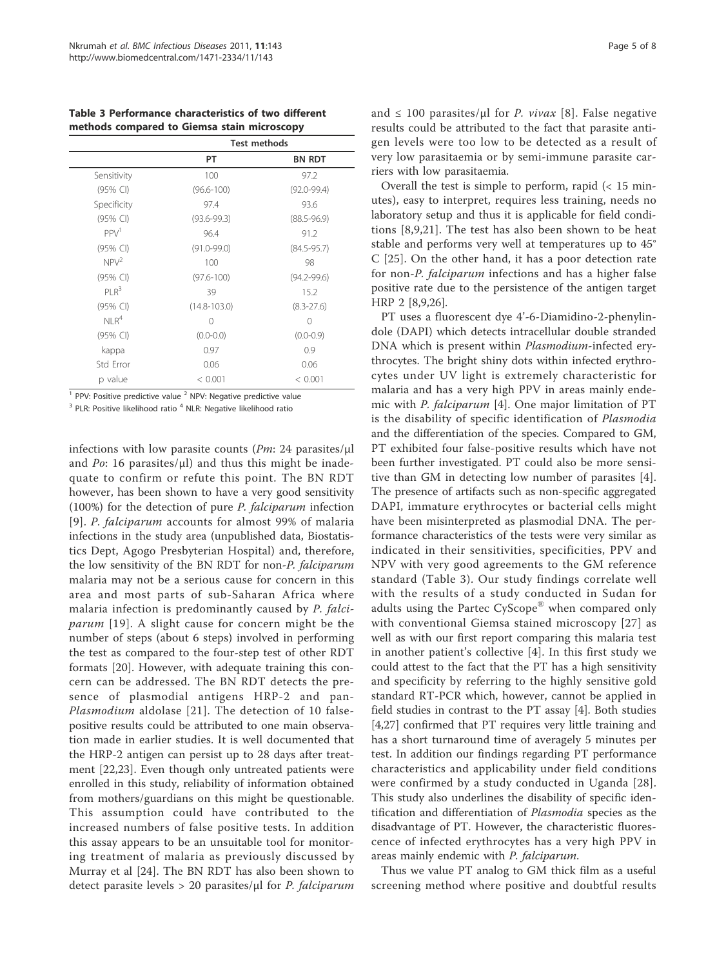Table 3 Performance characteristics of two different methods compared to Giemsa stain microscopy

|                   | <b>Test methods</b> |                 |  |
|-------------------|---------------------|-----------------|--|
|                   | PT                  | <b>BN RDT</b>   |  |
| Sensitivity       | 100                 | 97.2            |  |
| (95% CI)          | $(96.6 - 100)$      | $(92.0 - 99.4)$ |  |
| Specificity       | 97.4                | 93.6            |  |
| (95% CI)          | $(93.6 - 99.3)$     | $(88.5 - 96.9)$ |  |
| PPV <sup>1</sup>  | 96.4                | 91.2            |  |
| (95% CI)          | $(91.0 - 99.0)$     | $(84.5 - 95.7)$ |  |
| NPV <sup>2</sup>  | 100                 | 98              |  |
| (95% CI)          | $(97.6 - 100)$      | $(94.2 - 99.6)$ |  |
| PI R <sup>3</sup> | 39                  | 15.2            |  |
| (95% CI)          | $(14.8 - 103.0)$    | $(8.3 - 27.6)$  |  |
| NI R <sup>4</sup> | 0                   | $\bigcap$       |  |
| (95% CI)          | $(0.0 - 0.0)$       | $(0.0 - 0.9)$   |  |
| kappa             | 0.97                | 0.9             |  |
| Std Error         | 0.06                | 0.06            |  |
| p value           | < 0.001<br>$\sim$   | < 0.001         |  |

 $1$  PPV: Positive predictive value  $2$  NPV: Negative predictive value

 $3$  PLR: Positive likelihood ratio  $4$  NLR: Negative likelihood ratio

infections with low parasite counts (*Pm*: 24 parasites/ $\mu$ l and Po: 16 parasites/ $\mu$ l) and thus this might be inadequate to confirm or refute this point. The BN RDT however, has been shown to have a very good sensitivity (100%) for the detection of pure P. falciparum infection [9]. P. falciparum accounts for almost 99% of malaria infections in the study area (unpublished data, Biostatistics Dept, Agogo Presbyterian Hospital) and, therefore, the low sensitivity of the BN RDT for non-P. falciparum malaria may not be a serious cause for concern in this area and most parts of sub-Saharan Africa where malaria infection is predominantly caused by P. falciparum [19]. A slight cause for concern might be the number of steps (about 6 steps) involved in performing the test as compared to the four-step test of other RDT formats [20]. However, with adequate training this concern can be addressed. The BN RDT detects the presence of plasmodial antigens HRP-2 and pan-Plasmodium aldolase [21]. The detection of 10 falsepositive results could be attributed to one main observation made in earlier studies. It is well documented that the HRP-2 antigen can persist up to 28 days after treatment [22,23]. Even though only untreated patients were enrolled in this study, reliability of information obtained from mothers/guardians on this might be questionable. This assumption could have contributed to the increased numbers of false positive tests. In addition this assay appears to be an unsuitable tool for monitoring treatment of malaria as previously discussed by Murray et al [24]. The BN RDT has also been shown to detect parasite levels  $> 20$  parasites/μl for *P. falciparum*  and  $\leq 100$  parasites/ $\mu$ l for *P. vivax* [8]. False negative results could be attributed to the fact that parasite antigen levels were too low to be detected as a result of very low parasitaemia or by semi-immune parasite carriers with low parasitaemia.

Overall the test is simple to perform, rapid  $\left($  < 15 minutes), easy to interpret, requires less training, needs no laboratory setup and thus it is applicable for field conditions [8,9,21]. The test has also been shown to be heat stable and performs very well at temperatures up to 45° C [25]. On the other hand, it has a poor detection rate for non-P. *falciparum* infections and has a higher false positive rate due to the persistence of the antigen target HRP 2 [8,9,26].

PT uses a fluorescent dye 4'-6-Diamidino-2-phenylindole (DAPI) which detects intracellular double stranded DNA which is present within Plasmodium-infected erythrocytes. The bright shiny dots within infected erythrocytes under UV light is extremely characteristic for malaria and has a very high PPV in areas mainly endemic with P. falciparum [4]. One major limitation of PT is the disability of specific identification of Plasmodia and the differentiation of the species. Compared to GM, PT exhibited four false-positive results which have not been further investigated. PT could also be more sensitive than GM in detecting low number of parasites [4]. The presence of artifacts such as non-specific aggregated DAPI, immature erythrocytes or bacterial cells might have been misinterpreted as plasmodial DNA. The performance characteristics of the tests were very similar as indicated in their sensitivities, specificities, PPV and NPV with very good agreements to the GM reference standard (Table 3). Our study findings correlate well with the results of a study conducted in Sudan for adults using the Partec CyScope<sup>®</sup> when compared only with conventional Giemsa stained microscopy [27] as well as with our first report comparing this malaria test in another patient's collective [4]. In this first study we could attest to the fact that the PT has a high sensitivity and specificity by referring to the highly sensitive gold standard RT-PCR which, however, cannot be applied in field studies in contrast to the PT assay [4]. Both studies [4,27] confirmed that PT requires very little training and has a short turnaround time of averagely 5 minutes per test. In addition our findings regarding PT performance characteristics and applicability under field conditions were confirmed by a study conducted in Uganda [28]. This study also underlines the disability of specific identification and differentiation of Plasmodia species as the disadvantage of PT. However, the characteristic fluorescence of infected erythrocytes has a very high PPV in areas mainly endemic with P. falciparum.

Thus we value PT analog to GM thick film as a useful screening method where positive and doubtful results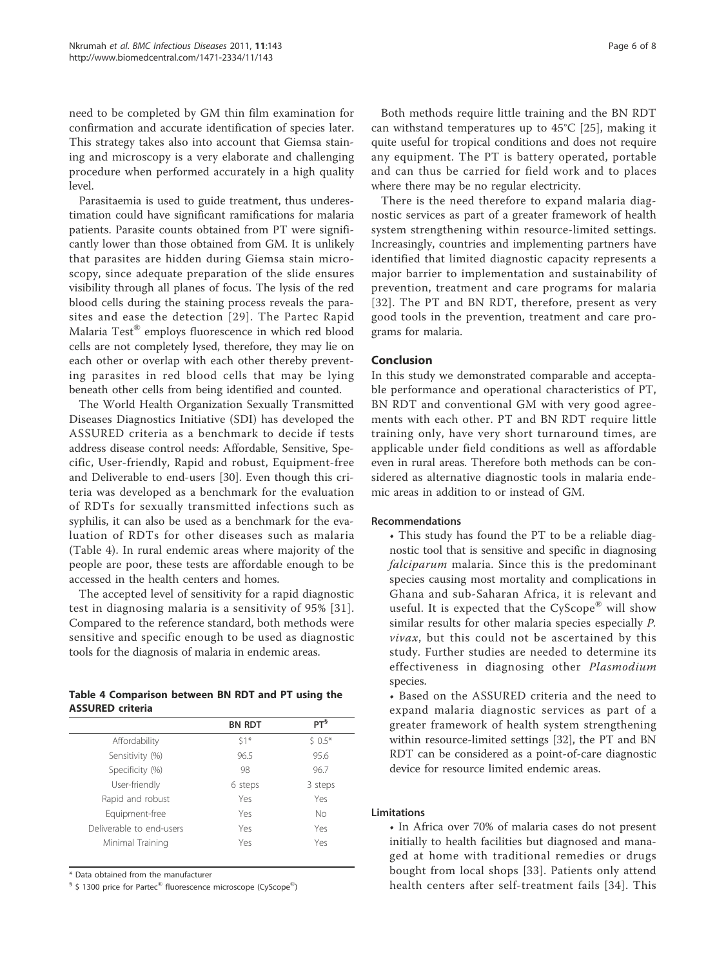need to be completed by GM thin film examination for confirmation and accurate identification of species later. This strategy takes also into account that Giemsa staining and microscopy is a very elaborate and challenging procedure when performed accurately in a high quality level.

Parasitaemia is used to guide treatment, thus underestimation could have significant ramifications for malaria patients. Parasite counts obtained from PT were significantly lower than those obtained from GM. It is unlikely that parasites are hidden during Giemsa stain microscopy, since adequate preparation of the slide ensures visibility through all planes of focus. The lysis of the red blood cells during the staining process reveals the parasites and ease the detection [29]. The Partec Rapid Malaria Test® employs fluorescence in which red blood cells are not completely lysed, therefore, they may lie on each other or overlap with each other thereby preventing parasites in red blood cells that may be lying beneath other cells from being identified and counted.

The World Health Organization Sexually Transmitted Diseases Diagnostics Initiative (SDI) has developed the ASSURED criteria as a benchmark to decide if tests address disease control needs: Affordable, Sensitive, Specific, User-friendly, Rapid and robust, Equipment-free and Deliverable to end-users [30]. Even though this criteria was developed as a benchmark for the evaluation of RDTs for sexually transmitted infections such as syphilis, it can also be used as a benchmark for the evaluation of RDTs for other diseases such as malaria (Table 4). In rural endemic areas where majority of the people are poor, these tests are affordable enough to be accessed in the health centers and homes.

The accepted level of sensitivity for a rapid diagnostic test in diagnosing malaria is a sensitivity of 95% [31]. Compared to the reference standard, both methods were sensitive and specific enough to be used as diagnostic tools for the diagnosis of malaria in endemic areas.

#### Table 4 Comparison between BN RDT and PT using the ASSURED criteria

|                          | <b>BN RDT</b> | $PT^{\S}$ |
|--------------------------|---------------|-----------|
| Affordability            | $51*$         | $$0.5*$   |
| Sensitivity (%)          | 96.5          | 95.6      |
| Specificity (%)          | 98            | 96.7      |
| User-friendly            | 6 steps       | 3 steps   |
| Rapid and robust         | Yes           | Yes       |
| Equipment-free           | Yes           | No        |
| Deliverable to end-users | Yes           | Yes       |
| Minimal Training         | Yes           | Yes       |

\* Data obtained from the manufacturer

 $\frac{6}{5}$  \$ 1300 price for Partec® fluorescence microscope (CyScope®)

Both methods require little training and the BN RDT can withstand temperatures up to 45°C [25], making it quite useful for tropical conditions and does not require any equipment. The PT is battery operated, portable and can thus be carried for field work and to places where there may be no regular electricity.

There is the need therefore to expand malaria diagnostic services as part of a greater framework of health system strengthening within resource-limited settings. Increasingly, countries and implementing partners have identified that limited diagnostic capacity represents a major barrier to implementation and sustainability of prevention, treatment and care programs for malaria [32]. The PT and BN RDT, therefore, present as very good tools in the prevention, treatment and care programs for malaria.

#### Conclusion

In this study we demonstrated comparable and acceptable performance and operational characteristics of PT, BN RDT and conventional GM with very good agreements with each other. PT and BN RDT require little training only, have very short turnaround times, are applicable under field conditions as well as affordable even in rural areas. Therefore both methods can be considered as alternative diagnostic tools in malaria endemic areas in addition to or instead of GM.

#### Recommendations

• This study has found the PT to be a reliable diagnostic tool that is sensitive and specific in diagnosing falciparum malaria. Since this is the predominant species causing most mortality and complications in Ghana and sub-Saharan Africa, it is relevant and useful. It is expected that the CyScope® will show similar results for other malaria species especially P. vivax, but this could not be ascertained by this study. Further studies are needed to determine its effectiveness in diagnosing other Plasmodium species.

• Based on the ASSURED criteria and the need to expand malaria diagnostic services as part of a greater framework of health system strengthening within resource-limited settings [32], the PT and BN RDT can be considered as a point-of-care diagnostic device for resource limited endemic areas.

#### Limitations

• In Africa over 70% of malaria cases do not present initially to health facilities but diagnosed and managed at home with traditional remedies or drugs bought from local shops [33]. Patients only attend health centers after self-treatment fails [34]. This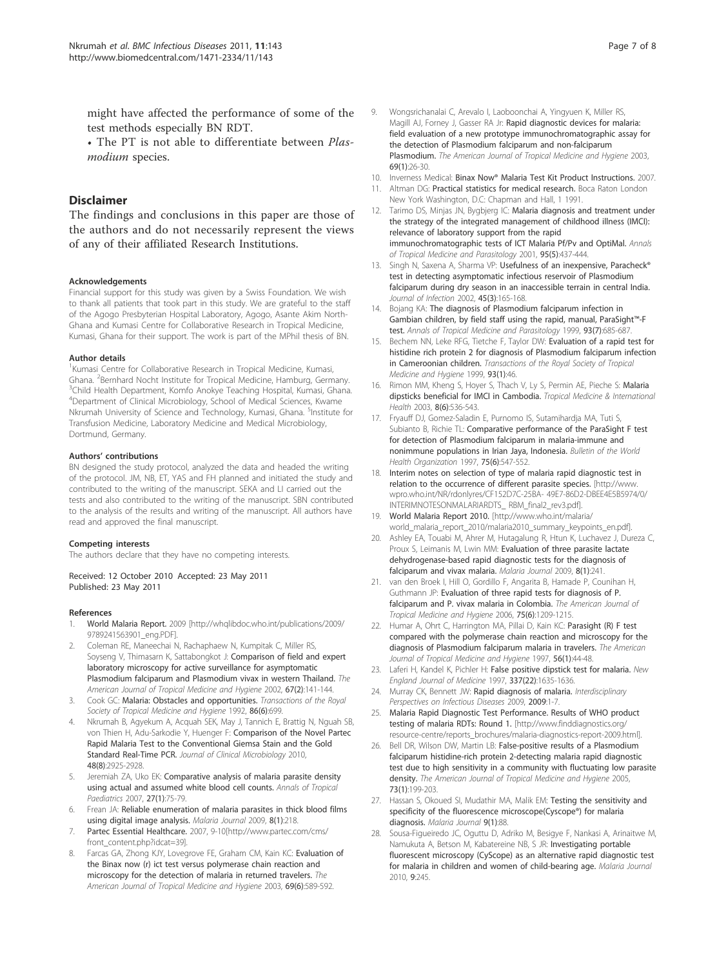might have affected the performance of some of the test methods especially BN RDT.

• The PT is not able to differentiate between Plasmodium species.

# Disclaimer

The findings and conclusions in this paper are those of the authors and do not necessarily represent the views of any of their affiliated Research Institutions.

#### Acknowledgements

Financial support for this study was given by a Swiss Foundation. We wish to thank all patients that took part in this study. We are grateful to the staff of the Agogo Presbyterian Hospital Laboratory, Agogo, Asante Akim North-Ghana and Kumasi Centre for Collaborative Research in Tropical Medicine, Kumasi, Ghana for their support. The work is part of the MPhil thesis of BN.

#### Author details

<sup>1</sup> Kumasi Centre for Collaborative Research in Tropical Medicine, Kumasi, Ghana. <sup>2</sup>Bernhard Nocht Institute for Tropical Medicine, Hamburg, Germany.<br><sup>3</sup>Child Health Department Komfo Anolye Teaching Hospital Kumasi. Ghana <sup>3</sup>Child Health Department, Komfo Anokye Teaching Hospital, Kumasi, Ghana. 4 Department of Clinical Microbiology, School of Medical Sciences, Kwame Nkrumah University of Science and Technology, Kumasi, Ghana. <sup>5</sup>Institute for Transfusion Medicine, Laboratory Medicine and Medical Microbiology, Dortmund, Germany.

#### Authors' contributions

BN designed the study protocol, analyzed the data and headed the writing of the protocol. JM, NB, ET, YAS and FH planned and initiated the study and contributed to the writing of the manuscript. SEKA and LI carried out the tests and also contributed to the writing of the manuscript. SBN contributed to the analysis of the results and writing of the manuscript. All authors have read and approved the final manuscript.

#### Competing interests

The authors declare that they have no competing interests.

Received: 12 October 2010 Accepted: 23 May 2011 Published: 23 May 2011

#### References

- 1. World Malaria Report. 2009 [http://whqlibdoc.who.int/publications/2009/ 9789241563901\_eng.PDF].
- 2. Coleman RE, Maneechai N, Rachaphaew N, Kumpitak C, Miller RS, Soyseng V, Thimasarn K, Sattabongkot J: Comparison of field and expert laboratory microscopy for active surveillance for asymptomatic Plasmodium falciparum and Plasmodium vivax in western Thailand. The American Journal of Tropical Medicine and Hygiene 2002, 67(2):141-144.
- 3. Cook GC: Malaria: Obstacles and opportunities. Transactions of the Royal Society of Tropical Medicine and Hygiene 1992, 86(6):699.
- 4. Nkrumah B, Agyekum A, Acquah SEK, May J, Tannich E, Brattig N, Nguah SB, von Thien H, Adu-Sarkodie Y, Huenger F: Comparison of the Novel Partec Rapid Malaria Test to the Conventional Giemsa Stain and the Gold Standard Real-Time PCR. Journal of Clinical Microbiology 2010, 48(8):2925-2928.
- 5. Jeremiah ZA, Uko EK: Comparative analysis of malaria parasite density using actual and assumed white blood cell counts. Annals of Tropical Paediatrics 2007, 27(1):75-79.
- 6. Frean JA: Reliable enumeration of malaria parasites in thick blood films using digital image analysis. Malaria Journal 2009, 8(1):218.
- Partec Essential Healthcare. 2007, 9-10[http://www.partec.com/cms/ front\_content.php?idcat=39].
- 8. Farcas GA, Zhong KJY, Lovegrove FE, Graham CM, Kain KC: Evaluation of the Binax now (r) ict test versus polymerase chain reaction and microscopy for the detection of malaria in returned travelers. The American Journal of Tropical Medicine and Hygiene 2003, 69(6):589-592.
- 9. Wongsrichanalai C, Arevalo I, Laoboonchai A, Yingyuen K, Miller RS, Magill AJ, Forney J, Gasser RA Jr: Rapid diagnostic devices for malaria: field evaluation of a new prototype immunochromatographic assay for the detection of Plasmodium falciparum and non-falciparum Plasmodium. The American Journal of Tropical Medicine and Hygiene 2003, 69(1):26-30.
- 10. Inverness Medical: Binax Now® Malaria Test Kit Product Instructions. 2007.
- 11. Altman DG: Practical statistics for medical research. Boca Raton London New York Washington, D.C: Chapman and Hall, 1 1991.
- Tarimo DS, Minjas JN, Bygbjerg IC: Malaria diagnosis and treatment under the strategy of the integrated management of childhood illness (IMCI): relevance of laboratory support from the rapid immunochromatographic tests of ICT Malaria Pf/Pv and OptiMal. Annals of Tropical Medicine and Parasitology 2001, 95(5):437-444.
- 13. Singh N, Saxena A, Sharma VP: Usefulness of an inexpensive, Paracheck® test in detecting asymptomatic infectious reservoir of Plasmodium falciparum during dry season in an inaccessible terrain in central India. Journal of Infection 2002, 45(3):165-168.
- 14. Bojang KA: The diagnosis of Plasmodium falciparum infection in Gambian children, by field staff using the rapid, manual, ParaSight™-F test. Annals of Tropical Medicine and Parasitology 1999, 93(7):685-687.
- 15. Bechem NN, Leke RFG, Tietche F, Taylor DW: Evaluation of a rapid test for histidine rich protein 2 for diagnosis of Plasmodium falciparum infection in Cameroonian children. Transactions of the Royal Society of Tropical Medicine and Hygiene 1999, 93(1):46.
- 16. Rimon MM, Kheng S, Hoyer S, Thach V, Ly S, Permin AE, Pieche S: Malaria dipsticks beneficial for IMCI in Cambodia. Tropical Medicine & International Health 2003, 8(6):536-543.
- 17. Fryauff DJ, Gomez-Saladin E, Purnomo IS, Sutamihardja MA, Tuti S, Subianto B, Richie TL: Comparative performance of the ParaSight F test for detection of Plasmodium falciparum in malaria-immune and nonimmune populations in Irian Jaya, Indonesia. Bulletin of the World Health Organization 1997, 75(6):547-552.
- 18. Interim notes on selection of type of malaria rapid diagnostic test in relation to the occurrence of different parasite species. [http://www. wpro.who.int/NR/rdonlyres/CF152D7C-25BA- 49E7-86D2-DBEE4E5B5974/0/ INTERIMNOTESONMALARIARDTS\_ RBM\_final2\_rev3.pdf].
- 19. World Malaria Report 2010. [http://www.who.int/malaria/ world\_malaria\_report\_2010/malaria2010\_summary\_keypoints\_en.pdf].
- 20. Ashley EA, Touabi M, Ahrer M, Hutagalung R, Htun K, Luchavez J, Dureza C, Proux S, Leimanis M, Lwin MM: Evaluation of three parasite lactate dehydrogenase-based rapid diagnostic tests for the diagnosis of falciparum and vivax malaria. Malaria Journal 2009, 8(1):241.
- 21. van den Broek I, Hill O, Gordillo F, Angarita B, Hamade P, Counihan H, Guthmann JP: Evaluation of three rapid tests for diagnosis of P. falciparum and P. vivax malaria in Colombia. The American Journal of Tropical Medicine and Hygiene 2006, 75(6):1209-1215.
- 22. Humar A, Ohrt C, Harrington MA, Pillai D, Kain KC: Parasight (R) F test compared with the polymerase chain reaction and microscopy for the diagnosis of Plasmodium falciparum malaria in travelers. The American Journal of Tropical Medicine and Hygiene 1997, 56(1):44-48.
- 23. Laferi H, Kandel K, Pichler H: False positive dipstick test for malaria. New England Journal of Medicine 1997, 337(22):1635-1636.
- 24. Murray CK, Bennett JW: Rapid diagnosis of malaria. Interdisciplinary Perspectives on Infectious Diseases 2009, 2009:1-7.
- 25. Malaria Rapid Diagnostic Test Performance. Results of WHO product testing of malaria RDTs: Round 1. [http://www.finddiagnostics.org/ resource-centre/reports\_brochures/malaria-diagnostics-report-2009.html].
- 26. Bell DR, Wilson DW, Martin LB: False-positive results of a Plasmodium falciparum histidine-rich protein 2-detecting malaria rapid diagnostic test due to high sensitivity in a community with fluctuating low parasite density. The American Journal of Tropical Medicine and Hygiene 2005, 73(1):199-203.
- 27. Hassan S, Okoued SI, Mudathir MA, Malik EM: Testing the sensitivity and specificity of the fluorescence microscope(Cyscope®) for malaria diagnosis. Malaria Journal 9(1):88.
- 28. Sousa-Figueiredo JC, Oguttu D, Adriko M, Besigye F, Nankasi A, Arinaitwe M, Namukuta A, Betson M, Kabatereine NB, S JR: Investigating portable fluorescent microscopy (CyScope) as an alternative rapid diagnostic test for malaria in children and women of child-bearing age. Malaria Journal 2010, 9:245.